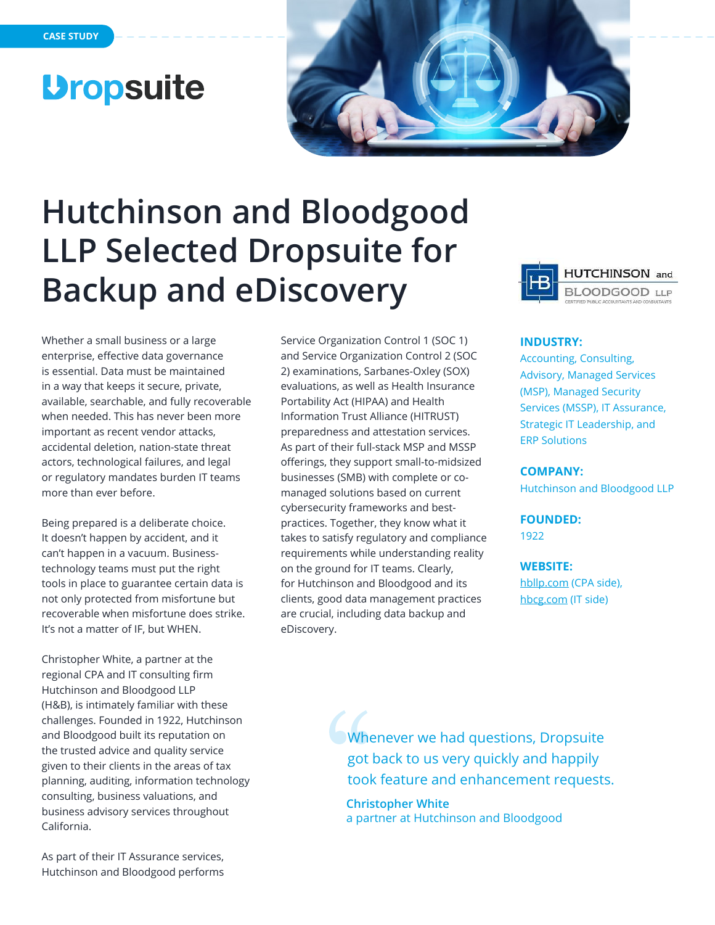## **Dropsuite**



# **Hutchinson and Bloodgood LLP Selected Dropsuite for Backup and eDiscovery**

Whether a small business or a large enterprise, effective data governance is essential. Data must be maintained in a way that keeps it secure, private, available, searchable, and fully recoverable when needed. This has never been more important as recent vendor attacks, accidental deletion, nation-state threat actors, technological failures, and legal or regulatory mandates burden IT teams more than ever before.

Being prepared is a deliberate choice. It doesn't happen by accident, and it can't happen in a vacuum. Businesstechnology teams must put the right tools in place to guarantee certain data is not only protected from misfortune but recoverable when misfortune does strike. It's not a matter of IF, but WHEN.

Christopher White, a partner at the regional CPA and IT consulting firm Hutchinson and Bloodgood LLP (H&B), is intimately familiar with these challenges. Founded in 1922, Hutchinson and Bloodgood built its reputation on the trusted advice and quality service given to their clients in the areas of tax planning, auditing, information technology consulting, business valuations, and business advisory services throughout California.

As part of their IT Assurance services, Hutchinson and Bloodgood performs Service Organization Control 1 (SOC 1) and Service Organization Control 2 (SOC 2) examinations, Sarbanes-Oxley (SOX) evaluations, as well as Health Insurance Portability Act (HIPAA) and Health Information Trust Alliance (HITRUST) preparedness and attestation services. As part of their full-stack MSP and MSSP offerings, they support small-to-midsized businesses (SMB) with complete or comanaged solutions based on current cybersecurity frameworks and bestpractices. Together, they know what it takes to satisfy regulatory and compliance requirements while understanding reality on the ground for IT teams. Clearly, for Hutchinson and Bloodgood and its clients, good data management practices are crucial, including data backup and eDiscovery.



### **INDUSTRY:**

Accounting, Consulting, Advisory, Managed Services (MSP), Managed Security Services (MSSP), IT Assurance, Strategic IT Leadership, and ERP Solutions

### **COMPANY:**

Hutchinson and Bloodgood LLP

**FOUNDED:** 

1922

### **WEBSITE:**

[hbllp.com](https://hbllp.com/) (CPA side), [hbcg.com](https://hbcg.com/) (IT side)

Whenever we had questions, Dropsuite got back to us very quickly and happily took feature and enhancement requests.

**Christopher White** a partner at Hutchinson and Bloodgood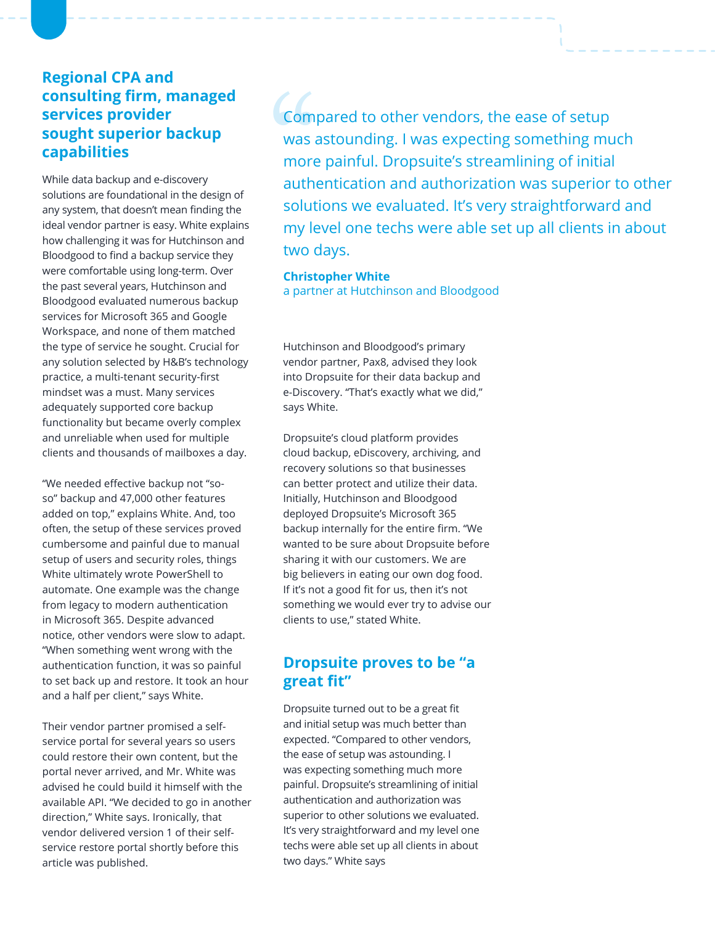## **Regional CPA and consulting firm, managed services provider sought superior backup capabilities**

While data backup and e-discovery solutions are foundational in the design of any system, that doesn't mean finding the ideal vendor partner is easy. White explains how challenging it was for Hutchinson and Bloodgood to find a backup service they were comfortable using long-term. Over the past several years, Hutchinson and Bloodgood evaluated numerous backup services for Microsoft 365 and Google Workspace, and none of them matched the type of service he sought. Crucial for any solution selected by H&B's technology practice, a multi-tenant security-first mindset was a must. Many services adequately supported core backup functionality but became overly complex and unreliable when used for multiple clients and thousands of mailboxes a day.

"We needed effective backup not "soso" backup and 47,000 other features added on top," explains White. And, too often, the setup of these services proved cumbersome and painful due to manual setup of users and security roles, things White ultimately wrote PowerShell to automate. One example was the change from legacy to modern authentication in Microsoft 365. Despite advanced notice, other vendors were slow to adapt. "When something went wrong with the authentication function, it was so painful to set back up and restore. It took an hour and a half per client," says White.

Their vendor partner promised a selfservice portal for several years so users could restore their own content, but the portal never arrived, and Mr. White was advised he could build it himself with the available API. "We decided to go in another direction," White says. Ironically, that vendor delivered version 1 of their selfservice restore portal shortly before this article was published.

Compared to other vendors, the ease of setup was astounding. I was expecting something much more painful. Dropsuite's streamlining of initial authentication and authorization was superior to other solutions we evaluated. It's very straightforward and my level one techs were able set up all clients in about two days.

**Christopher White** a partner at Hutchinson and Bloodgood

Hutchinson and Bloodgood's primary vendor partner, Pax8, advised they look into Dropsuite for their data backup and e-Discovery. "That's exactly what we did," says White.

Dropsuite's cloud platform provides cloud backup, eDiscovery, archiving, and recovery solutions so that businesses can better protect and utilize their data. Initially, Hutchinson and Bloodgood deployed Dropsuite's Microsoft 365 backup internally for the entire firm. "We wanted to be sure about Dropsuite before sharing it with our customers. We are big believers in eating our own dog food. If it's not a good fit for us, then it's not something we would ever try to advise our clients to use," stated White.

## **Dropsuite proves to be "a great fit"**

Dropsuite turned out to be a great fit and initial setup was much better than expected. "Compared to other vendors, the ease of setup was astounding. I was expecting something much more painful. Dropsuite's streamlining of initial authentication and authorization was superior to other solutions we evaluated. It's very straightforward and my level one techs were able set up all clients in about two days." White says